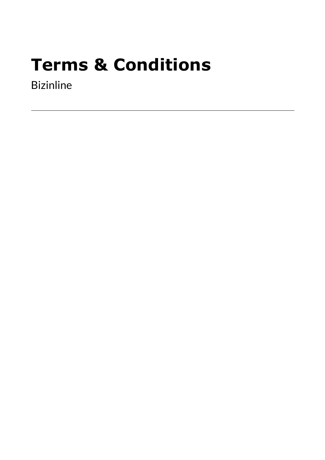# **Terms & Conditions**

Bizinline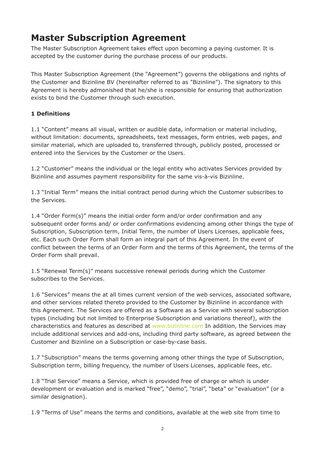# **Master Subscription Agreement**

The Master Subscription Agreement takes effect upon becoming a paying customer. It is accepted by the customer during the purchase process of our products.

This Master Subscription Agreement (the "Agreement") governs the obligations and rights of the Customer and Bizinline BV (hereinafter referred to as "Bizinline"). The signatory to this Agreement is hereby admonished that he/she is responsible for ensuring that authorization exists to bind the Customer through such execution.

# **1 Definitions**

1.1 "Content" means all visual, written or audible data, information or material including, without limitation: documents, spreadsheets, text messages, form entries, web pages, and similar material, which are uploaded to, transferred through, publicly posted, processed or entered into the Services by the Customer or the Users.

1.2 "Customer" means the individual or the legal entity who activates Services provided by Bizinline and assumes payment responsibility for the same vis-à-vis Bizinline.

1.3 "Initial Term" means the initial contract period during which the Customer subscribes to the Services.

1.4 "Order Form(s)" means the initial order form and/or order confirmation and any subsequent order forms and/ or order confirmations evidencing among other things the type of Subscription, Subscription term, Initial Term, the number of Users Licenses, applicable fees, etc. Each such Order Form shall form an integral part of this Agreement. In the event of conflict between the terms of an Order Form and the terms of this Agreement, the terms of the Order Form shall prevail.

1.5 "Renewal Term(s)" means successive renewal periods during which the Customer subscribes to the Services.

1.6 "Services" means the at all times current version of the web services, associated software, and other services related thereto provided to the Customer by Bizinline in accordance with this Agreement. The Services are offered as a Software as a Service with several subscription types (including but not limited to Enterprise Subscription and variations thereof), with the characteristics and features as described at [www.bizinline.com](https://www.bizinline.com/index.html) In addition, the Services may include additional services and add-ons, including third party software, as agreed between the Customer and Bizinline on a Subscription or case-by-case basis.

1.7 "Subscription" means the terms governing among other things the type of Subscription, Subscription term, billing frequency, the number of Users Licenses, applicable fees, etc.

1.8 "Trial Service" means a Service, which is provided free of charge or which is under development or evaluation and is marked "free", "demo", "trial", "beta" or "evaluation" (or a similar designation).

1.9 "Terms of Use" means the terms and conditions, available at the web site from time to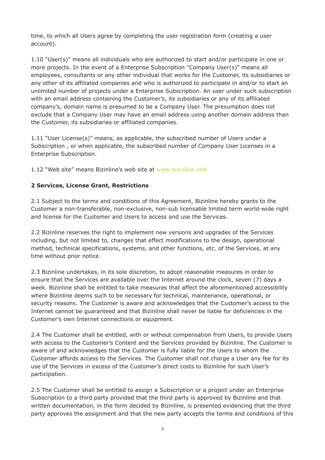time, to which all Users agree by completing the user registration form (creating a user account).

1.10 "User(s)" means all individuals who are authorized to start and/or participate in one or more projects. In the event of a Enterprise Subscription "Company User(s)" means all employees, consultants or any other individual that works for the Customer, its subsidiaries or any other of its affiliated companies and who is authorized to participate in and/or to start an unlimited number of projects under a Enterprise Subscription. An user under such subscription with an email address containing the Customer's, its subsidiaries or any of its affiliated company's, domain name is presumed to be a Company User. The presumption does not exclude that a Company User may have an email address using another domain address than the Customer, its subsidiaries or affiliated companies.

1.11 "User License(s)" means, as applicable, the subscribed number of Users under a Subscription , or when applicable, the subscribed number of Company User Licenses in a Enterprise Subscription.

1.12 "Web site" means Bizinline's web site at [www.bizinline.com](https://www.bizinline.com/index.html)

#### **2 Services, License Grant, Restrictions**

2.1 Subject to the terms and conditions of this Agreement, Bizinline hereby grants to the Customer a non-transferable, non-exclusive, non-sub licensable limited term world-wide right and license for the Customer and Users to access and use the Services.

2.2 Bizinline reserves the right to implement new versions and upgrades of the Services including, but not limited to, changes that effect modifications to the design, operational method, technical specifications, systems, and other functions, etc. of the Services, at any time without prior notice.

2.3 Bizinline undertakes, in its sole discretion, to adopt reasonable measures in order to ensure that the Services are available over the Internet around the clock, seven (7) days a week. Bizinline shall be entitled to take measures that affect the aforementioned accessibility where Bizinline deems such to be necessary for technical, maintenance, operational, or security reasons. The Customer is aware and acknowledges that the Customer's access to the Internet cannot be guaranteed and that Bizinline shall never be liable for deficiencies in the Customer's own Internet connections or equipment.

2.4 The Customer shall be entitled, with or without compensation from Users, to provide Users with access to the Customer's Content and the Services provided by Bizinline. The Customer is aware of and acknowledges that the Customer is fully liable for the Users to whom the Customer affords access to the Services. The Customer shall not charge a User any fee for its use of the Services in excess of the Customer's direct costs to Bizinline for such User's participation.

2.5 The Customer shall be entitled to assign a Subscription or a project under an Enterprise Subscription to a third party provided that the third party is approved by Bizinline and that written documentation, in the form decided by Bizinline, is presented evidencing that the third party approves the assignment and that the new party accepts the terms and conditions of this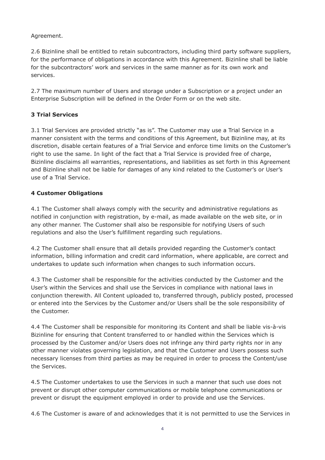Agreement.

2.6 Bizinline shall be entitled to retain subcontractors, including third party software suppliers, for the performance of obligations in accordance with this Agreement. Bizinline shall be liable for the subcontractors' work and services in the same manner as for its own work and services.

2.7 The maximum number of Users and storage under a Subscription or a project under an Enterprise Subscription will be defined in the Order Form or on the web site.

# **3 Trial Services**

3.1 Trial Services are provided strictly "as is". The Customer may use a Trial Service in a manner consistent with the terms and conditions of this Agreement, but Bizinline may, at its discretion, disable certain features of a Trial Service and enforce time limits on the Customer's right to use the same. In light of the fact that a Trial Service is provided free of charge, Bizinline disclaims all warranties, representations, and liabilities as set forth in this Agreement and Bizinline shall not be liable for damages of any kind related to the Customer's or User's use of a Trial Service.

# **4 Customer Obligations**

4.1 The Customer shall always comply with the security and administrative regulations as notified in conjunction with registration, by e-mail, as made available on the web site, or in any other manner. The Customer shall also be responsible for notifying Users of such regulations and also the User's fulfillment regarding such regulations.

4.2 The Customer shall ensure that all details provided regarding the Customer's contact information, billing information and credit card information, where applicable, are correct and undertakes to update such information when changes to such information occurs.

4.3 The Customer shall be responsible for the activities conducted by the Customer and the User's within the Services and shall use the Services in compliance with national laws in conjunction therewith. All Content uploaded to, transferred through, publicly posted, processed or entered into the Services by the Customer and/or Users shall be the sole responsibility of the Customer.

4.4 The Customer shall be responsible for monitoring its Content and shall be liable vis-à-vis Bizinline for ensuring that Content transferred to or handled within the Services which is processed by the Customer and/or Users does not infringe any third party rights nor in any other manner violates governing legislation, and that the Customer and Users possess such necessary licenses from third parties as may be required in order to process the Content/use the Services.

4.5 The Customer undertakes to use the Services in such a manner that such use does not prevent or disrupt other computer communications or mobile telephone communications or prevent or disrupt the equipment employed in order to provide and use the Services.

4.6 The Customer is aware of and acknowledges that it is not permitted to use the Services in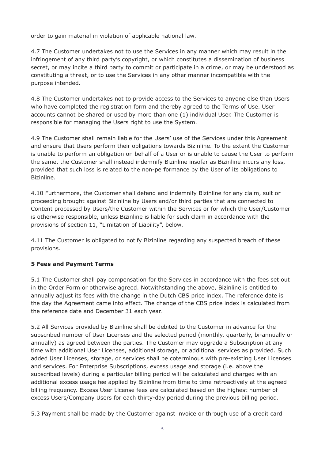order to gain material in violation of applicable national law.

4.7 The Customer undertakes not to use the Services in any manner which may result in the infringement of any third party's copyright, or which constitutes a dissemination of business secret, or may incite a third party to commit or participate in a crime, or may be understood as constituting a threat, or to use the Services in any other manner incompatible with the purpose intended.

4.8 The Customer undertakes not to provide access to the Services to anyone else than Users who have completed the registration form and thereby agreed to the Terms of Use. User accounts cannot be shared or used by more than one (1) individual User. The Customer is responsible for managing the Users right to use the System.

4.9 The Customer shall remain liable for the Users' use of the Services under this Agreement and ensure that Users perform their obligations towards Bizinline. To the extent the Customer is unable to perform an obligation on behalf of a User or is unable to cause the User to perform the same, the Customer shall instead indemnify Bizinline insofar as Bizinline incurs any loss, provided that such loss is related to the non-performance by the User of its obligations to Bizinline.

4.10 Furthermore, the Customer shall defend and indemnify Bizinline for any claim, suit or proceeding brought against Bizinline by Users and/or third parties that are connected to Content processed by Users/the Customer within the Services or for which the User/Customer is otherwise responsible, unless Bizinline is liable for such claim in accordance with the provisions of section 11, "Limitation of Liability", below.

4.11 The Customer is obligated to notify Bizinline regarding any suspected breach of these provisions.

# **5 Fees and Payment Terms**

5.1 The Customer shall pay compensation for the Services in accordance with the fees set out in the Order Form or otherwise agreed. Notwithstanding the above, Bizinline is entitled to annually adjust its fees with the change in the Dutch CBS price index. The reference date is the day the Agreement came into effect. The change of the CBS price index is calculated from the reference date and December 31 each year.

5.2 All Services provided by Bizinline shall be debited to the Customer in advance for the subscribed number of User Licenses and the selected period (monthly, quarterly, bi-annually or annually) as agreed between the parties. The Customer may upgrade a Subscription at any time with additional User Licenses, additional storage, or additional services as provided. Such added User Licenses, storage, or services shall be coterminous with pre-existing User Licenses and services. For Enterprise Subscriptions, excess usage and storage (i.e. above the subscribed levels) during a particular billing period will be calculated and charged with an additional excess usage fee applied by Bizinline from time to time retroactively at the agreed billing frequency. Excess User License fees are calculated based on the highest number of excess Users/Company Users for each thirty-day period during the previous billing period.

5.3 Payment shall be made by the Customer against invoice or through use of a credit card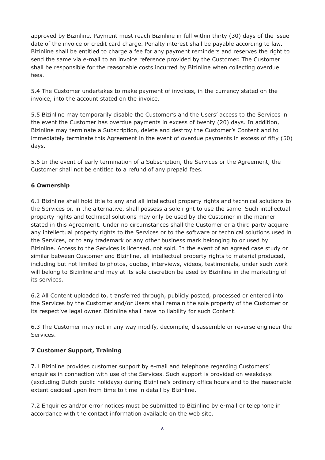approved by Bizinline. Payment must reach Bizinline in full within thirty (30) days of the issue date of the invoice or credit card charge. Penalty interest shall be payable according to law. Bizinline shall be entitled to charge a fee for any payment reminders and reserves the right to send the same via e-mail to an invoice reference provided by the Customer. The Customer shall be responsible for the reasonable costs incurred by Bizinline when collecting overdue fees.

5.4 The Customer undertakes to make payment of invoices, in the currency stated on the invoice, into the account stated on the invoice.

5.5 Bizinline may temporarily disable the Customer's and the Users' access to the Services in the event the Customer has overdue payments in excess of twenty (20) days. In addition, Bizinline may terminate a Subscription, delete and destroy the Customer's Content and to immediately terminate this Agreement in the event of overdue payments in excess of fifty (50) days.

5.6 In the event of early termination of a Subscription, the Services or the Agreement, the Customer shall not be entitled to a refund of any prepaid fees.

# **6 Ownership**

6.1 Bizinline shall hold title to any and all intellectual property rights and technical solutions to the Services or, in the alternative, shall possess a sole right to use the same. Such intellectual property rights and technical solutions may only be used by the Customer in the manner stated in this Agreement. Under no circumstances shall the Customer or a third party acquire any intellectual property rights to the Services or to the software or technical solutions used in the Services, or to any trademark or any other business mark belonging to or used by Bizinline. Access to the Services is licensed, not sold. In the event of an agreed case study or similar between Customer and Bizinline, all intellectual property rights to material produced, including but not limited to photos, quotes, interviews, videos, testimonials, under such work will belong to Bizinline and may at its sole discretion be used by Bizinline in the marketing of its services.

6.2 All Content uploaded to, transferred through, publicly posted, processed or entered into the Services by the Customer and/or Users shall remain the sole property of the Customer or its respective legal owner. Bizinline shall have no liability for such Content.

6.3 The Customer may not in any way modify, decompile, disassemble or reverse engineer the Services.

#### **7 Customer Support, Training**

7.1 Bizinline provides customer support by e-mail and telephone regarding Customers' enquiries in connection with use of the Services. Such support is provided on weekdays (excluding Dutch public holidays) during Bizinline's ordinary office hours and to the reasonable extent decided upon from time to time in detail by Bizinline.

7.2 Enquiries and/or error notices must be submitted to Bizinline by e-mail or telephone in accordance with the contact information available on the web site.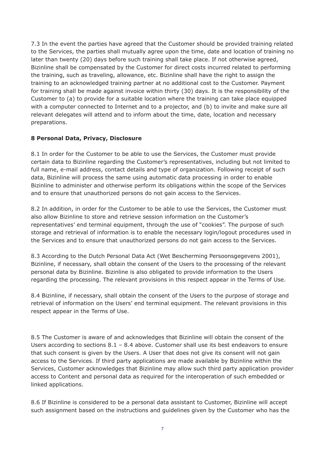7.3 In the event the parties have agreed that the Customer should be provided training related to the Services, the parties shall mutually agree upon the time, date and location of training no later than twenty (20) days before such training shall take place. If not otherwise agreed, Bizinline shall be compensated by the Customer for direct costs incurred related to performing the training, such as traveling, allowance, etc. Bizinline shall have the right to assign the training to an acknowledged training partner at no additional cost to the Customer. Payment for training shall be made against invoice within thirty (30) days. It is the responsibility of the Customer to (a) to provide for a suitable location where the training can take place equipped with a computer connected to Internet and to a projector, and (b) to invite and make sure all relevant delegates will attend and to inform about the time, date, location and necessary preparations.

#### **8 Personal Data, Privacy, Disclosure**

8.1 In order for the Customer to be able to use the Services, the Customer must provide certain data to Bizinline regarding the Customer's representatives, including but not limited to full name, e-mail address, contact details and type of organization. Following receipt of such data, Bizinline will process the same using automatic data processing in order to enable Bizinline to administer and otherwise perform its obligations within the scope of the Services and to ensure that unauthorized persons do not gain access to the Services.

8.2 In addition, in order for the Customer to be able to use the Services, the Customer must also allow Bizinline to store and retrieve session information on the Customer's representatives' end terminal equipment, through the use of "cookies". The purpose of such storage and retrieval of information is to enable the necessary login/logout procedures used in the Services and to ensure that unauthorized persons do not gain access to the Services.

8.3 According to the Dutch Personal Data Act (Wet Bescherming Persoonsgegevens 2001), Bizinline, if necessary, shall obtain the consent of the Users to the processing of the relevant personal data by Bizinline. Bizinline is also obligated to provide information to the Users regarding the processing. The relevant provisions in this respect appear in the Terms of Use.

8.4 Bizinline, if necessary, shall obtain the consent of the Users to the purpose of storage and retrieval of information on the Users' end terminal equipment. The relevant provisions in this respect appear in the Terms of Use.

8.5 The Customer is aware of and acknowledges that Bizinline will obtain the consent of the Users according to sections  $8.1 - 8.4$  above. Customer shall use its best endeavors to ensure that such consent is given by the Users. A User that does not give its consent will not gain access to the Services. If third party applications are made available by Bizinline within the Services, Customer acknowledges that Bizinline may allow such third party application provider access to Content and personal data as required for the interoperation of such embedded or linked applications.

8.6 If Bizinline is considered to be a personal data assistant to Customer, Bizinline will accept such assignment based on the instructions and guidelines given by the Customer who has the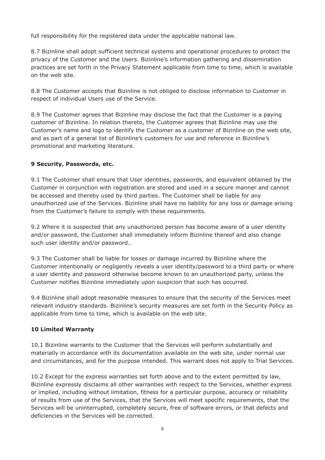full responsibility for the registered data under the applicable national law.

8.7 Bizinline shall adopt sufficient technical systems and operational procedures to protect the privacy of the Customer and the Users. Bizinline's information gathering and dissemination practices are set forth in the Privacy Statement applicable from time to time, which is available on the web site.

8.8 The Customer accepts that Bizinline is not obliged to disclose information to Customer in respect of individual Users use of the Service.

8.9 The Customer agrees that Bizinline may disclose the fact that the Customer is a paying customer of Bizinline. In relation thereto, the Customer agrees that Bizinline may use the Customer's name and logo to identify the Customer as a customer of Bizinline on the web site, and as part of a general list of Bizinline's customers for use and reference in Bizinline's promotional and marketing literature.

#### **9 Security, Passwords, etc.**

9.1 The Customer shall ensure that User identities, passwords, and equivalent obtained by the Customer in conjunction with registration are stored and used in a secure manner and cannot be accessed and thereby used by third parties. The Customer shall be liable for any unauthorized use of the Services. Bizinline shall have no liability for any loss or damage arising from the Customer's failure to comply with these requirements.

9.2 Where it is suspected that any unauthorized person has become aware of a user identity and/or password, the Customer shall immediately inform Bizinline thereof and also change such user identity and/or password..

9.3 The Customer shall be liable for losses or damage incurred by Bizinline where the Customer intentionally or negligently reveals a user identity/password to a third party or where a user identity and password otherwise become known to an unauthorized party, unless the Customer notifies Bizinline immediately upon suspicion that such has occurred.

9.4 Bizinline shall adopt reasonable measures to ensure that the security of the Services meet relevant industry standards. Bizinline's security measures are set forth in the Security Policy as applicable from time to time, which is available on the web site.

#### **10 Limited Warranty**

10.1 Bizinline warrants to the Customer that the Services will perform substantially and materially in accordance with its documentation available on the web site, under normal use and circumstances, and for the purpose intended. This warrant does not apply to Trial Services.

10.2 Except for the express warranties set forth above and to the extent permitted by law, Bizinline expressly disclaims all other warranties with respect to the Services, whether express or implied, including without limitation, fitness for a particular purpose, accuracy or reliability of results from use of the Services, that the Services will meet specific requirements, that the Services will be uninterrupted, completely secure, free of software errors, or that defects and deficiencies in the Services will be corrected.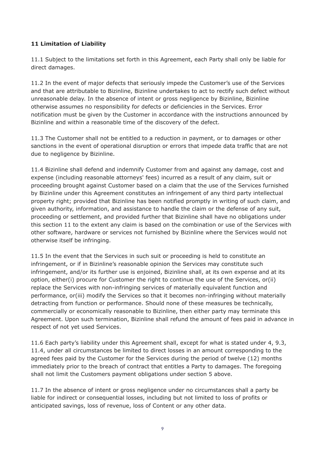# **11 Limitation of Liability**

11.1 Subject to the limitations set forth in this Agreement, each Party shall only be liable for direct damages.

11.2 In the event of major defects that seriously impede the Customer's use of the Services and that are attributable to Bizinline, Bizinline undertakes to act to rectify such defect without unreasonable delay. In the absence of intent or gross negligence by Bizinline, Bizinline otherwise assumes no responsibility for defects or deficiencies in the Services. Error notification must be given by the Customer in accordance with the instructions announced by Bizinline and within a reasonable time of the discovery of the defect.

11.3 The Customer shall not be entitled to a reduction in payment, or to damages or other sanctions in the event of operational disruption or errors that impede data traffic that are not due to negligence by Bizinline.

11.4 Bizinline shall defend and indemnify Customer from and against any damage, cost and expense (including reasonable attorneys' fees) incurred as a result of any claim, suit or proceeding brought against Customer based on a claim that the use of the Services furnished by Bizinline under this Agreement constitutes an infringement of any third party intellectual property right; provided that Bizinline has been notified promptly in writing of such claim, and given authority, information, and assistance to handle the claim or the defense of any suit, proceeding or settlement, and provided further that Bizinline shall have no obligations under this section 11 to the extent any claim is based on the combination or use of the Services with other software, hardware or services not furnished by Bizinline where the Services would not otherwise itself be infringing.

11.5 In the event that the Services in such suit or proceeding is held to constitute an infringement, or if in Bizinline's reasonable opinion the Services may constitute such infringement, and/or its further use is enjoined, Bizinline shall, at its own expense and at its option, either(i) procure for Customer the right to continue the use of the Services, or(ii) replace the Services with non-infringing services of materially equivalent function and performance, or(iii) modify the Services so that it becomes non-infringing without materially detracting from function or performance. Should none of these measures be technically, commercially or economically reasonable to Bizinline, then either party may terminate this Agreement. Upon such termination, Bizinline shall refund the amount of fees paid in advance in respect of not yet used Services.

11.6 Each party's liability under this Agreement shall, except for what is stated under 4, 9.3, 11.4, under all circumstances be limited to direct losses in an amount corresponding to the agreed fees paid by the Customer for the Services during the period of twelve (12) months immediately prior to the breach of contract that entitles a Party to damages. The foregoing shall not limit the Customers payment obligations under section 5 above.

11.7 In the absence of intent or gross negligence under no circumstances shall a party be liable for indirect or consequential losses, including but not limited to loss of profits or anticipated savings, loss of revenue, loss of Content or any other data.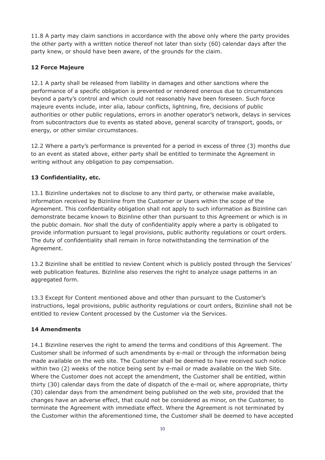11.8 A party may claim sanctions in accordance with the above only where the party provides the other party with a written notice thereof not later than sixty (60) calendar days after the party knew, or should have been aware, of the grounds for the claim.

# **12 Force Majeure**

12.1 A party shall be released from liability in damages and other sanctions where the performance of a specific obligation is prevented or rendered onerous due to circumstances beyond a party's control and which could not reasonably have been foreseen. Such force majeure events include, inter alia, labour conflicts, lightning, fire, decisions of public authorities or other public regulations, errors in another operator's network, delays in services from subcontractors due to events as stated above, general scarcity of transport, goods, or energy, or other similar circumstances.

12.2 Where a party's performance is prevented for a period in excess of three (3) months due to an event as stated above, either party shall be entitled to terminate the Agreement in writing without any obligation to pay compensation.

# **13 Confidentiality, etc.**

13.1 Bizinline undertakes not to disclose to any third party, or otherwise make available, information received by Bizinline from the Customer or Users within the scope of the Agreement. This confidentiality obligation shall not apply to such information as Bizinline can demonstrate became known to Bizinline other than pursuant to this Agreement or which is in the public domain. Nor shall the duty of confidentiality apply where a party is obligated to provide information pursuant to legal provisions, public authority regulations or court orders. The duty of confidentiality shall remain in force notwithstanding the termination of the Agreement.

13.2 Bizinline shall be entitled to review Content which is publicly posted through the Services' web publication features. Bizinline also reserves the right to analyze usage patterns in an aggregated form.

13.3 Except for Content mentioned above and other than pursuant to the Customer's instructions, legal provisions, public authority regulations or court orders, Bizinline shall not be entitled to review Content processed by the Customer via the Services.

# **14 Amendments**

14.1 Bizinline reserves the right to amend the terms and conditions of this Agreement. The Customer shall be informed of such amendments by e-mail or through the information being made available on the web site. The Customer shall be deemed to have received such notice within two (2) weeks of the notice being sent by e-mail or made available on the Web Site. Where the Customer does not accept the amendment, the Customer shall be entitled, within thirty (30) calendar days from the date of dispatch of the e-mail or, where appropriate, thirty (30) calendar days from the amendment being published on the web site, provided that the changes have an adverse effect, that could not be considered as minor, on the Customer, to terminate the Agreement with immediate effect. Where the Agreement is not terminated by the Customer within the aforementioned time, the Customer shall be deemed to have accepted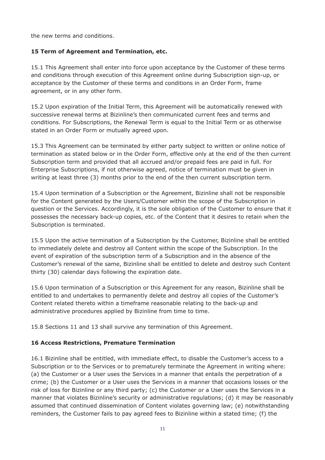the new terms and conditions.

# **15 Term of Agreement and Termination, etc.**

15.1 This Agreement shall enter into force upon acceptance by the Customer of these terms and conditions through execution of this Agreement online during Subscription sign-up, or acceptance by the Customer of these terms and conditions in an Order Form, frame agreement, or in any other form.

15.2 Upon expiration of the Initial Term, this Agreement will be automatically renewed with successive renewal terms at Bizinline's then communicated current fees and terms and conditions. For Subscriptions, the Renewal Term is equal to the Initial Term or as otherwise stated in an Order Form or mutually agreed upon.

15.3 This Agreement can be terminated by either party subject to written or online notice of termination as stated below or in the Order Form, effective only at the end of the then current Subscription term and provided that all accrued and/or prepaid fees are paid in full. For Enterprise Subscriptions, if not otherwise agreed, notice of termination must be given in writing at least three (3) months prior to the end of the then current subscription term.

15.4 Upon termination of a Subscription or the Agreement, Bizinline shall not be responsible for the Content generated by the Users/Customer within the scope of the Subscription in question or the Services. Accordingly, it is the sole obligation of the Customer to ensure that it possesses the necessary back-up copies, etc. of the Content that it desires to retain when the Subscription is terminated.

15.5 Upon the active termination of a Subscription by the Customer, Bizinline shall be entitled to immediately delete and destroy all Content within the scope of the Subscription. In the event of expiration of the subscription term of a Subscription and in the absence of the Customer's renewal of the same, Bizinline shall be entitled to delete and destroy such Content thirty (30) calendar days following the expiration date.

15.6 Upon termination of a Subscription or this Agreement for any reason, Bizinline shall be entitled to and undertakes to permanently delete and destroy all copies of the Customer's Content related thereto within a timeframe reasonable relating to the back-up and administrative procedures applied by Bizinline from time to time.

15.8 Sections 11 and 13 shall survive any termination of this Agreement.

# **16 Access Restrictions, Premature Termination**

16.1 Bizinline shall be entitled, with immediate effect, to disable the Customer's access to a Subscription or to the Services or to prematurely terminate the Agreement in writing where: (a) the Customer or a User uses the Services in a manner that entails the perpetration of a crime; (b) the Customer or a User uses the Services in a manner that occasions losses or the risk of loss for Bizinline or any third party; (c) the Customer or a User uses the Services in a manner that violates Bizinline's security or administrative regulations; (d) it may be reasonably assumed that continued dissemination of Content violates governing law; (e) notwithstanding reminders, the Customer fails to pay agreed fees to Bizinline within a stated time; (f) the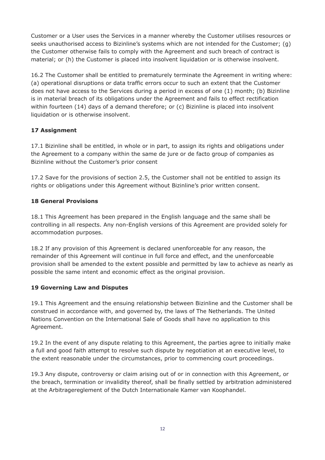Customer or a User uses the Services in a manner whereby the Customer utilises resources or seeks unauthorised access to Bizinline's systems which are not intended for the Customer; (g) the Customer otherwise fails to comply with the Agreement and such breach of contract is material; or (h) the Customer is placed into insolvent liquidation or is otherwise insolvent.

16.2 The Customer shall be entitled to prematurely terminate the Agreement in writing where: (a) operational disruptions or data traffic errors occur to such an extent that the Customer does not have access to the Services during a period in excess of one (1) month; (b) Bizinline is in material breach of its obligations under the Agreement and fails to effect rectification within fourteen (14) days of a demand therefore; or (c) Bizinline is placed into insolvent liquidation or is otherwise insolvent.

# **17 Assignment**

17.1 Bizinline shall be entitled, in whole or in part, to assign its rights and obligations under the Agreement to a company within the same de jure or de facto group of companies as Bizinline without the Customer's prior consent

17.2 Save for the provisions of section 2.5, the Customer shall not be entitled to assign its rights or obligations under this Agreement without Bizinline's prior written consent.

# **18 General Provisions**

18.1 This Agreement has been prepared in the English language and the same shall be controlling in all respects. Any non-English versions of this Agreement are provided solely for accommodation purposes.

18.2 If any provision of this Agreement is declared unenforceable for any reason, the remainder of this Agreement will continue in full force and effect, and the unenforceable provision shall be amended to the extent possible and permitted by law to achieve as nearly as possible the same intent and economic effect as the original provision.

# **19 Governing Law and Disputes**

19.1 This Agreement and the ensuing relationship between Bizinline and the Customer shall be construed in accordance with, and governed by, the laws of The Netherlands. The United Nations Convention on the International Sale of Goods shall have no application to this Agreement.

19.2 In the event of any dispute relating to this Agreement, the parties agree to initially make a full and good faith attempt to resolve such dispute by negotiation at an executive level, to the extent reasonable under the circumstances, prior to commencing court proceedings.

19.3 Any dispute, controversy or claim arising out of or in connection with this Agreement, or the breach, termination or invalidity thereof, shall be finally settled by arbitration administered at the Arbitragereglement of the Dutch Internationale Kamer van Koophandel.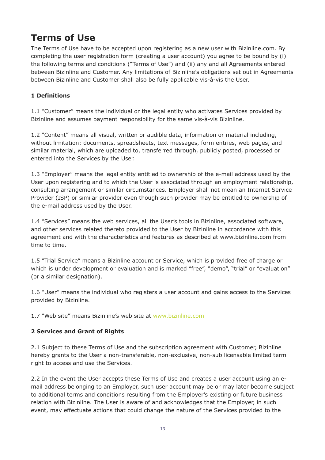# **Terms of Use**

The Terms of Use have to be accepted upon registering as a new user with Bizinline.com. By completing the user registration form (creating a user account) you agree to be bound by (i) the following terms and conditions ("Terms of Use") and (ii) any and all Agreements entered between Bizinline and Customer. Any limitations of Bizinline's obligations set out in Agreements between Bizinline and Customer shall also be fully applicable vis-à-vis the User.

# **1 Definitions**

1.1 "Customer" means the individual or the legal entity who activates Services provided by Bizinline and assumes payment responsibility for the same vis-à-vis Bizinline.

1.2 "Content" means all visual, written or audible data, information or material including, without limitation: documents, spreadsheets, text messages, form entries, web pages, and similar material, which are uploaded to, transferred through, publicly posted, processed or entered into the Services by the User.

1.3 "Employer" means the legal entity entitled to ownership of the e-mail address used by the User upon registering and to which the User is associated through an employment relationship, consulting arrangement or similar circumstances. Employer shall not mean an Internet Service Provider (ISP) or similar provider even though such provider may be entitled to ownership of the e-mail address used by the User.

1.4 "Services" means the web services, all the User's tools in Bizinline, associated software, and other services related thereto provided to the User by Bizinline in accordance with this agreement and with the characteristics and features as described at www.bizinline.com from time to time.

1.5 "Trial Service" means a Bizinline account or Service, which is provided free of charge or which is under development or evaluation and is marked "free", "demo", "trial" or "evaluation" (or a similar designation).

1.6 "User" means the individual who registers a user account and gains access to the Services provided by Bizinline.

1.7 "Web site" means Bizinline's web site at [www.bizinline.com](https://www.bizinline.com/index.html)

# **2 Services and Grant of Rights**

2.1 Subject to these Terms of Use and the subscription agreement with Customer, Bizinline hereby grants to the User a non-transferable, non-exclusive, non-sub licensable limited term right to access and use the Services.

2.2 In the event the User accepts these Terms of Use and creates a user account using an email address belonging to an Employer, such user account may be or may later become subject to additional terms and conditions resulting from the Employer's existing or future business relation with Bizinline. The User is aware of and acknowledges that the Employer, in such event, may effectuate actions that could change the nature of the Services provided to the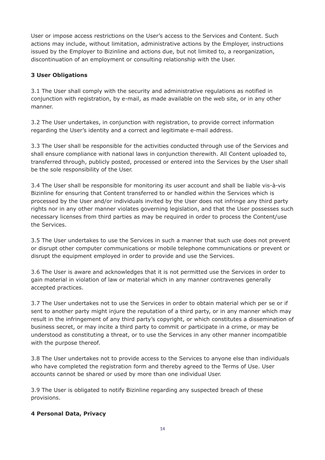User or impose access restrictions on the User's access to the Services and Content. Such actions may include, without limitation, administrative actions by the Employer, instructions issued by the Employer to Bizinline and actions due, but not limited to, a reorganization, discontinuation of an employment or consulting relationship with the User.

#### **3 User Obligations**

3.1 The User shall comply with the security and administrative regulations as notified in conjunction with registration, by e-mail, as made available on the web site, or in any other manner.

3.2 The User undertakes, in conjunction with registration, to provide correct information regarding the User's identity and a correct and legitimate e-mail address.

3.3 The User shall be responsible for the activities conducted through use of the Services and shall ensure compliance with national laws in conjunction therewith. All Content uploaded to, transferred through, publicly posted, processed or entered into the Services by the User shall be the sole responsibility of the User.

3.4 The User shall be responsible for monitoring its user account and shall be liable vis-à-vis Bizinline for ensuring that Content transferred to or handled within the Services which is processed by the User and/or individuals invited by the User does not infringe any third party rights nor in any other manner violates governing legislation, and that the User possesses such necessary licenses from third parties as may be required in order to process the Content/use the Services.

3.5 The User undertakes to use the Services in such a manner that such use does not prevent or disrupt other computer communications or mobile telephone communications or prevent or disrupt the equipment employed in order to provide and use the Services.

3.6 The User is aware and acknowledges that it is not permitted use the Services in order to gain material in violation of law or material which in any manner contravenes generally accepted practices.

3.7 The User undertakes not to use the Services in order to obtain material which per se or if sent to another party might injure the reputation of a third party, or in any manner which may result in the infringement of any third party's copyright, or which constitutes a dissemination of business secret, or may incite a third party to commit or participate in a crime, or may be understood as constituting a threat, or to use the Services in any other manner incompatible with the purpose thereof.

3.8 The User undertakes not to provide access to the Services to anyone else than individuals who have completed the registration form and thereby agreed to the Terms of Use. User accounts cannot be shared or used by more than one individual User.

3.9 The User is obligated to notify Bizinline regarding any suspected breach of these provisions.

#### **4 Personal Data, Privacy**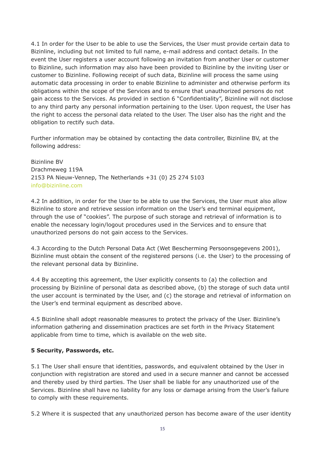4.1 In order for the User to be able to use the Services, the User must provide certain data to Bizinline, including but not limited to full name, e-mail address and contact details. In the event the User registers a user account following an invitation from another User or customer to Bizinline, such information may also have been provided to Bizinline by the inviting User or customer to Bizinline. Following receipt of such data, Bizinline will process the same using automatic data processing in order to enable Bizinline to administer and otherwise perform its obligations within the scope of the Services and to ensure that unauthorized persons do not gain access to the Services. As provided in section 6 "Confidentiality", Bizinline will not disclose to any third party any personal information pertaining to the User. Upon request, the User has the right to access the personal data related to the User. The User also has the right and the obligation to rectify such data.

Further information may be obtained by contacting the data controller, Bizinline BV, at the following address:

Bizinline BV Drachmeweg 119A 2153 PA Nieuw-Vennep, The Netherlands +31 (0) 25 274 5103 [info@bizinline.com](mailto:info@bizinline.com)

4.2 In addition, in order for the User to be able to use the Services, the User must also allow Bizinline to store and retrieve session information on the User's end terminal equipment, through the use of "cookies". The purpose of such storage and retrieval of information is to enable the necessary login/logout procedures used in the Services and to ensure that unauthorized persons do not gain access to the Services.

4.3 According to the Dutch Personal Data Act (Wet Bescherming Persoonsgegevens 2001), Bizinline must obtain the consent of the registered persons (i.e. the User) to the processing of the relevant personal data by Bizinline.

4.4 By accepting this agreement, the User explicitly consents to (a) the collection and processing by Bizinline of personal data as described above, (b) the storage of such data until the user account is terminated by the User, and (c) the storage and retrieval of information on the User's end terminal equipment as described above.

4.5 Bizinline shall adopt reasonable measures to protect the privacy of the User. Bizinline's information gathering and dissemination practices are set forth in the Privacy Statement applicable from time to time, which is available on the web site.

#### **5 Security, Passwords, etc.**

5.1 The User shall ensure that identities, passwords, and equivalent obtained by the User in conjunction with registration are stored and used in a secure manner and cannot be accessed and thereby used by third parties. The User shall be liable for any unauthorized use of the Services. Bizinline shall have no liability for any loss or damage arising from the User's failure to comply with these requirements.

5.2 Where it is suspected that any unauthorized person has become aware of the user identity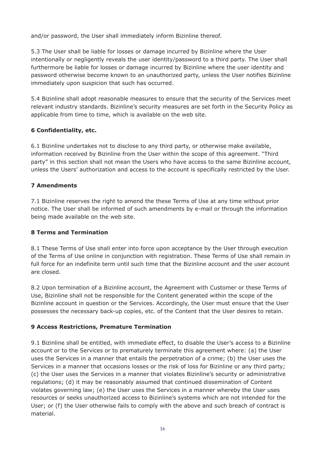and/or password, the User shall immediately inform Bizinline thereof.

5.3 The User shall be liable for losses or damage incurred by Bizinline where the User intentionally or negligently reveals the user identity/password to a third party. The User shall furthermore be liable for losses or damage incurred by Bizinline where the user identity and password otherwise become known to an unauthorized party, unless the User notifies Bizinline immediately upon suspicion that such has occurred.

5.4 Bizinline shall adopt reasonable measures to ensure that the security of the Services meet relevant industry standards. Bizinline's security measures are set forth in the Security Policy as applicable from time to time, which is available on the web site.

# **6 Confidentiality, etc.**

6.1 Bizinline undertakes not to disclose to any third party, or otherwise make available, information received by Bizinline from the User within the scope of this agreement. "Third party" in this section shall not mean the Users who have access to the same Bizinline account, unless the Users' authorization and access to the account is specifically restricted by the User.

#### **7 Amendments**

7.1 Bizinline reserves the right to amend the these Terms of Use at any time without prior notice. The User shall be informed of such amendments by e-mail or through the information being made available on the web site.

#### **8 Terms and Termination**

8.1 These Terms of Use shall enter into force upon acceptance by the User through execution of the Terms of Use online in conjunction with registration. These Terms of Use shall remain in full force for an indefinite term until such time that the Bizinline account and the user account are closed.

8.2 Upon termination of a Bizinline account, the Agreement with Customer or these Terms of Use, Bizinline shall not be responsible for the Content generated within the scope of the Bizinline account in question or the Services. Accordingly, the User must ensure that the User possesses the necessary back-up copies, etc. of the Content that the User desires to retain.

#### **9 Access Restrictions, Premature Termination**

9.1 Bizinline shall be entitled, with immediate effect, to disable the User's access to a Bizinline account or to the Services or to prematurely terminate this agreement where: (a) the User uses the Services in a manner that entails the perpetration of a crime; (b) the User uses the Services in a manner that occasions losses or the risk of loss for Bizinline or any third party; (c) the User uses the Services in a manner that violates Bizinline's security or administrative regulations; (d) it may be reasonably assumed that continued dissemination of Content violates governing law; (e) the User uses the Services in a manner whereby the User uses resources or seeks unauthorized access to Bizinline's systems which are not intended for the User; or (f) the User otherwise fails to comply with the above and such breach of contract is material.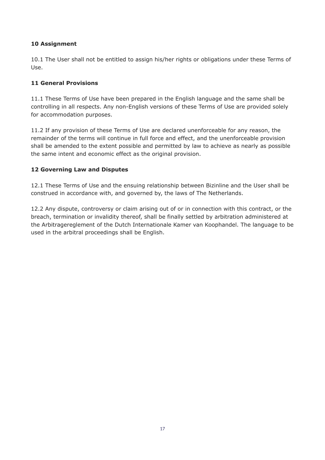# **10 Assignment**

10.1 The User shall not be entitled to assign his/her rights or obligations under these Terms of Use.

#### **11 General Provisions**

11.1 These Terms of Use have been prepared in the English language and the same shall be controlling in all respects. Any non-English versions of these Terms of Use are provided solely for accommodation purposes.

11.2 If any provision of these Terms of Use are declared unenforceable for any reason, the remainder of the terms will continue in full force and effect, and the unenforceable provision shall be amended to the extent possible and permitted by law to achieve as nearly as possible the same intent and economic effect as the original provision.

#### **12 Governing Law and Disputes**

12.1 These Terms of Use and the ensuing relationship between Bizinline and the User shall be construed in accordance with, and governed by, the laws of The Netherlands.

12.2 Any dispute, controversy or claim arising out of or in connection with this contract, or the breach, termination or invalidity thereof, shall be finally settled by arbitration administered at the Arbitragereglement of the Dutch Internationale Kamer van Koophandel. The language to be used in the arbitral proceedings shall be English.